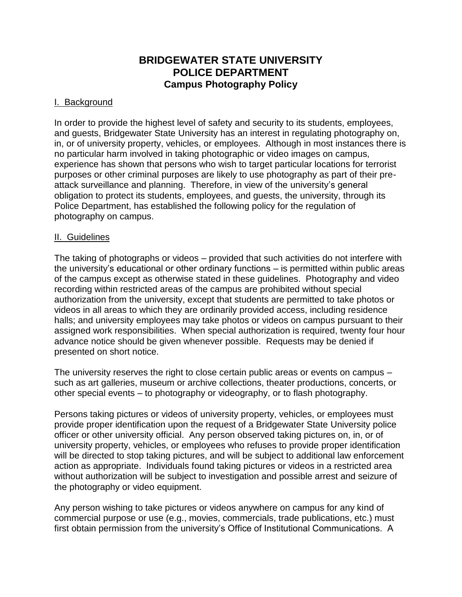# **BRIDGEWATER STATE UNIVERSITY POLICE DEPARTMENT Campus Photography Policy**

## I. Background

In order to provide the highest level of safety and security to its students, employees, and guests, Bridgewater State University has an interest in regulating photography on, in, or of university property, vehicles, or employees. Although in most instances there is no particular harm involved in taking photographic or video images on campus, experience has shown that persons who wish to target particular locations for terrorist purposes or other criminal purposes are likely to use photography as part of their preattack surveillance and planning. Therefore, in view of the university's general obligation to protect its students, employees, and guests, the university, through its Police Department, has established the following policy for the regulation of photography on campus.

#### II. Guidelines

The taking of photographs or videos – provided that such activities do not interfere with the university's educational or other ordinary functions – is permitted within public areas of the campus except as otherwise stated in these guidelines. Photography and video recording within restricted areas of the campus are prohibited without special authorization from the university, except that students are permitted to take photos or videos in all areas to which they are ordinarily provided access, including residence halls; and university employees may take photos or videos on campus pursuant to their assigned work responsibilities. When special authorization is required, twenty four hour advance notice should be given whenever possible. Requests may be denied if presented on short notice.

The university reserves the right to close certain public areas or events on campus – such as art galleries, museum or archive collections, theater productions, concerts, or other special events – to photography or videography, or to flash photography.

Persons taking pictures or videos of university property, vehicles, or employees must provide proper identification upon the request of a Bridgewater State University police officer or other university official. Any person observed taking pictures on, in, or of university property, vehicles, or employees who refuses to provide proper identification will be directed to stop taking pictures, and will be subject to additional law enforcement action as appropriate. Individuals found taking pictures or videos in a restricted area without authorization will be subject to investigation and possible arrest and seizure of the photography or video equipment.

Any person wishing to take pictures or videos anywhere on campus for any kind of commercial purpose or use (e.g., movies, commercials, trade publications, etc.) must first obtain permission from the university's Office of Institutional Communications. A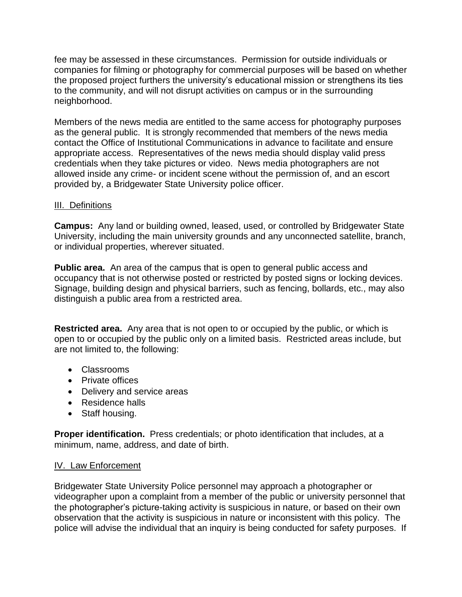fee may be assessed in these circumstances. Permission for outside individuals or companies for filming or photography for commercial purposes will be based on whether the proposed project furthers the university's educational mission or strengthens its ties to the community, and will not disrupt activities on campus or in the surrounding neighborhood.

Members of the news media are entitled to the same access for photography purposes as the general public. It is strongly recommended that members of the news media contact the Office of Institutional Communications in advance to facilitate and ensure appropriate access. Representatives of the news media should display valid press credentials when they take pictures or video. News media photographers are not allowed inside any crime- or incident scene without the permission of, and an escort provided by, a Bridgewater State University police officer.

# III. Definitions

**Campus:** Any land or building owned, leased, used, or controlled by Bridgewater State University, including the main university grounds and any unconnected satellite, branch, or individual properties, wherever situated.

**Public area.** An area of the campus that is open to general public access and occupancy that is not otherwise posted or restricted by posted signs or locking devices. Signage, building design and physical barriers, such as fencing, bollards, etc., may also distinguish a public area from a restricted area.

**Restricted area.** Any area that is not open to or occupied by the public, or which is open to or occupied by the public only on a limited basis. Restricted areas include, but are not limited to, the following:

- Classrooms
- Private offices
- Delivery and service areas
- Residence halls
- Staff housing.

**Proper identification.** Press credentials; or photo identification that includes, at a minimum, name, address, and date of birth.

## IV. Law Enforcement

Bridgewater State University Police personnel may approach a photographer or videographer upon a complaint from a member of the public or university personnel that the photographer's picture-taking activity is suspicious in nature, or based on their own observation that the activity is suspicious in nature or inconsistent with this policy. The police will advise the individual that an inquiry is being conducted for safety purposes. If